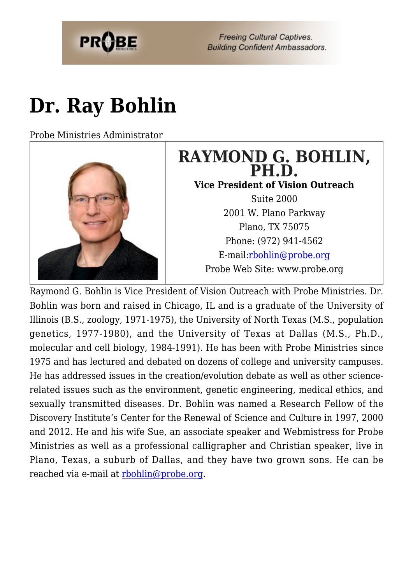

**Freeing Cultural Captives. Building Confident Ambassadors.** 

# **[Dr. Ray Bohlin](https://probe.org/dr-ray-bohlin/)**

Probe Ministries Administrator



# **RAYMOND G. BOHLIN, PH.D.**

**Vice President of Vision Outreach**

Suite 2000 2001 W. Plano Parkway Plano, TX 75075 Phone: (972) 941-4562 E-mail:[rbohlin@probe.org](mailto:rbohlin@probe.org) Probe Web Site: www.probe.org

Raymond G. Bohlin is Vice President of Vision Outreach with Probe Ministries. Dr. Bohlin was born and raised in Chicago, IL and is a graduate of the University of Illinois (B.S., zoology, 1971-1975), the University of North Texas (M.S., population genetics, 1977-1980), and the University of Texas at Dallas (M.S., Ph.D., molecular and cell biology, 1984-1991). He has been with Probe Ministries since 1975 and has lectured and debated on dozens of college and university campuses. He has addressed issues in the creation/evolution debate as well as other sciencerelated issues such as the environment, genetic engineering, medical ethics, and sexually transmitted diseases. Dr. Bohlin was named a Research Fellow of the Discovery Institute's Center for the Renewal of Science and Culture in 1997, 2000 and 2012. He and his wife Sue, an associate speaker and Webmistress for Probe Ministries as well as a professional calligrapher and Christian speaker, live in Plano, Texas, a suburb of Dallas, and they have two grown sons. He can be reached via e-mail at [rbohlin@probe.org.](mailto:rbohlin@probe.org)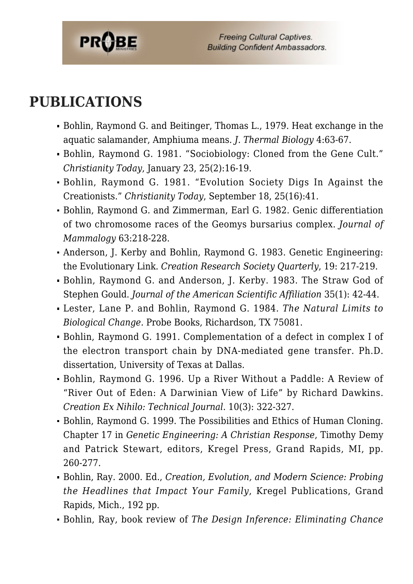

### **PUBLICATIONS**

- Bohlin, Raymond G. and Beitinger, Thomas L., 1979. Heat exchange in the aquatic salamander, Amphiuma means. *J. Thermal Biology* 4:63-67.
- Bohlin, Raymond G. 1981. "Sociobiology: Cloned from the Gene Cult." *Christianity Today*, January 23, 25(2):16-19.
- Bohlin, Raymond G. 1981. "Evolution Society Digs In Against the Creationists." *Christianity Today*, September 18, 25(16):41.
- Bohlin, Raymond G. and Zimmerman, Earl G. 1982. Genic differentiation of two chromosome races of the Geomys bursarius complex. *Journal of Mammalogy* 63:218-228.
- Anderson, J. Kerby and Bohlin, Raymond G. 1983. Genetic Engineering: the Evolutionary Link. *Creation Research Society Quarterly*, 19: 217-219.
- Bohlin, Raymond G. and Anderson, J. Kerby. 1983. The Straw God of Stephen Gould. *Journal of the American Scientific Affiliation* 35(1): 42-44.
- Lester, Lane P. and Bohlin, Raymond G. 1984. *The Natural Limits to Biological Change.* Probe Books, Richardson, TX 75081.
- Bohlin, Raymond G. 1991. Complementation of a defect in complex I of the electron transport chain by DNA-mediated gene transfer. Ph.D. dissertation, University of Texas at Dallas.
- Bohlin, Raymond G. 1996. Up a River Without a Paddle: A Review of "River Out of Eden: A Darwinian View of Life" by Richard Dawkins. *Creation Ex Nihilo: Technical Journal*. 10(3): 322-327.
- Bohlin, Raymond G. 1999. The Possibilities and Ethics of Human Cloning. Chapter 17 in *Genetic Engineering: A Christian Response*, Timothy Demy and Patrick Stewart, editors, Kregel Press, Grand Rapids, MI, pp. 260-277.
- Bohlin, Ray. 2000. Ed., *Creation, Evolution, and Modern Science: Probing the Headlines that Impact Your Family*, Kregel Publications, Grand Rapids, Mich., 192 pp.
- Bohlin, Ray, book review of *The Design Inference: Eliminating Chance*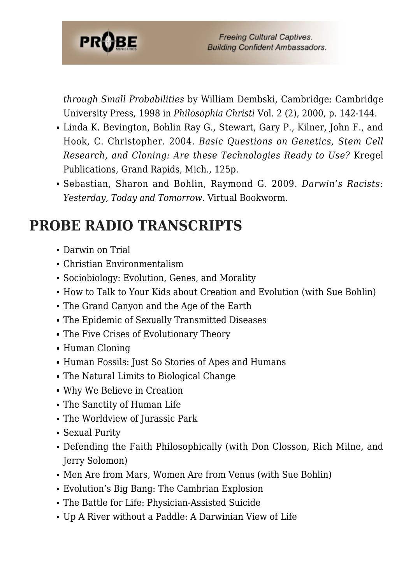

*through Small Probabilities* by William Dembski, Cambridge: Cambridge University Press, 1998 in *Philosophia Christi* Vol. 2 (2), 2000, p. 142-144.

- Linda K. Bevington, Bohlin Ray G., Stewart, Gary P., Kilner, John F., and Hook, C. Christopher. 2004. *Basic Questions on Genetics, Stem Cell Research, and Cloning: Are these Technologies Ready to Use?* Kregel Publications, Grand Rapids, Mich., 125p.
- Sebastian, Sharon and Bohlin, Raymond G. 2009. *Darwin's Racists: Yesterday, Today and Tomorrow*. Virtual Bookworm.

### **PROBE RADIO TRANSCRIPTS**

- Darwin on Trial
- Christian Environmentalism
- Sociobiology: Evolution, Genes, and Morality
- How to Talk to Your Kids about Creation and Evolution (with Sue Bohlin)
- The Grand Canyon and the Age of the Earth
- The Epidemic of Sexually Transmitted Diseases
- The Five Crises of Evolutionary Theory
- Human Cloning
- Human Fossils: Just So Stories of Apes and Humans
- The Natural Limits to Biological Change
- Why We Believe in Creation
- The Sanctity of Human Life
- The Worldview of Jurassic Park
- Sexual Purity
- Defending the Faith Philosophically (with Don Closson, Rich Milne, and Jerry Solomon)
- Men Are from Mars, Women Are from Venus (with Sue Bohlin)
- Evolution's Big Bang: The Cambrian Explosion
- The Battle for Life: Physician-Assisted Suicide
- Up A River without a Paddle: A Darwinian View of Life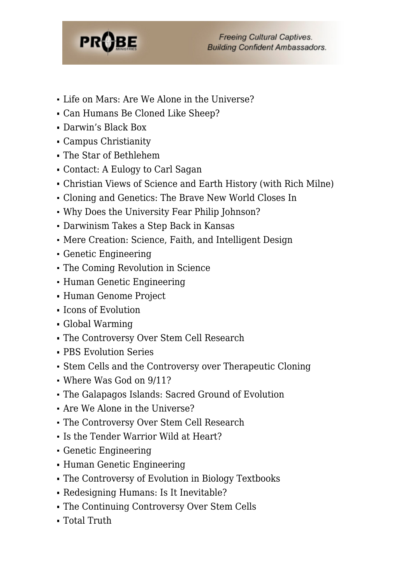

- I Life on Mars: Are We Alone in the Universe?
- Can Humans Be Cloned Like Sheep?
- Darwin's Black Box
- Campus Christianity
- The Star of Bethlehem
- Contact: A Eulogy to Carl Sagan
- Christian Views of Science and Earth History (with Rich Milne)
- Cloning and Genetics: The Brave New World Closes In
- Why Does the University Fear Philip Johnson?
- Darwinism Takes a Step Back in Kansas
- Mere Creation: Science, Faith, and Intelligent Design
- Genetic Engineering
- The Coming Revolution in Science
- Human Genetic Engineering
- Human Genome Project
- Icons of Evolution
- Global Warming
- The Controversy Over Stem Cell Research
- PBS Evolution Series
- Stem Cells and the Controversy over Therapeutic Cloning
- Where Was God on 9/11?
- The Galapagos Islands: Sacred Ground of Evolution
- Are We Alone in the Universe?
- The Controversy Over Stem Cell Research
- Is the Tender Warrior Wild at Heart?
- Genetic Engineering
- Human Genetic Engineering
- The Controversy of Evolution in Biology Textbooks
- Redesigning Humans: Is It Inevitable?
- The Continuing Controversy Over Stem Cells
- Total Truth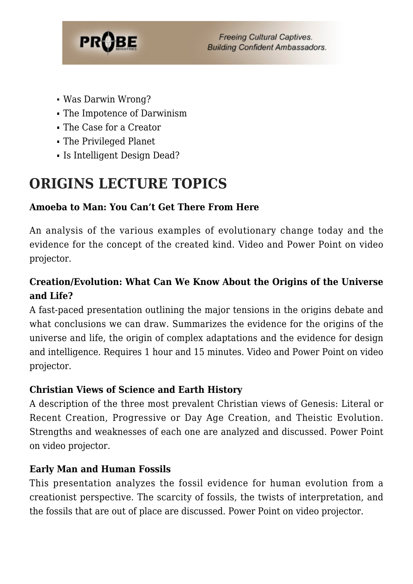

**Freeing Cultural Captives. Building Confident Ambassadors.** 

- Was Darwin Wrong?
- The Impotence of Darwinism
- The Case for a Creator
- The Privileged Planet
- Is Intelligent Design Dead?

# **ORIGINS LECTURE TOPICS**

### **Amoeba to Man: You Can't Get There From Here**

An analysis of the various examples of evolutionary change today and the evidence for the concept of the created kind. Video and Power Point on video projector.

### **Creation/Evolution: What Can We Know About the Origins of the Universe and Life?**

A fast-paced presentation outlining the major tensions in the origins debate and what conclusions we can draw. Summarizes the evidence for the origins of the universe and life, the origin of complex adaptations and the evidence for design and intelligence. Requires 1 hour and 15 minutes. Video and Power Point on video projector.

#### **Christian Views of Science and Earth History**

A description of the three most prevalent Christian views of Genesis: Literal or Recent Creation, Progressive or Day Age Creation, and Theistic Evolution. Strengths and weaknesses of each one are analyzed and discussed. Power Point on video projector.

### **Early Man and Human Fossils**

This presentation analyzes the fossil evidence for human evolution from a creationist perspective. The scarcity of fossils, the twists of interpretation, and the fossils that are out of place are discussed. Power Point on video projector.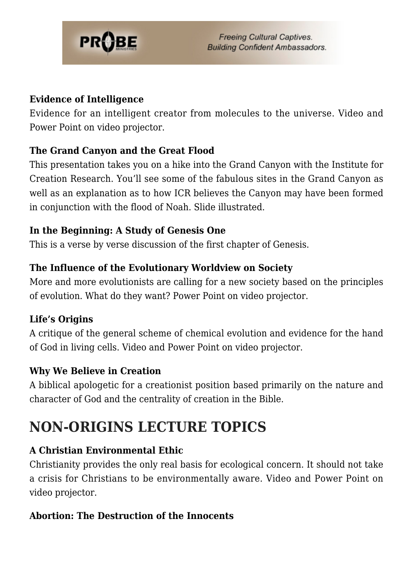

#### **Evidence of Intelligence**

Evidence for an intelligent creator from molecules to the universe. Video and Power Point on video projector.

#### **The Grand Canyon and the Great Flood**

This presentation takes you on a hike into the Grand Canyon with the Institute for Creation Research. You'll see some of the fabulous sites in the Grand Canyon as well as an explanation as to how ICR believes the Canyon may have been formed in conjunction with the flood of Noah. Slide illustrated.

#### **In the Beginning: A Study of Genesis One**

This is a verse by verse discussion of the first chapter of Genesis.

#### **The Influence of the Evolutionary Worldview on Society**

More and more evolutionists are calling for a new society based on the principles of evolution. What do they want? Power Point on video projector.

#### **Life's Origins**

A critique of the general scheme of chemical evolution and evidence for the hand of God in living cells. Video and Power Point on video projector.

#### **Why We Believe in Creation**

A biblical apologetic for a creationist position based primarily on the nature and character of God and the centrality of creation in the Bible.

# **NON-ORIGINS LECTURE TOPICS**

#### **A Christian Environmental Ethic**

Christianity provides the only real basis for ecological concern. It should not take a crisis for Christians to be environmentally aware. Video and Power Point on video projector.

#### **Abortion: The Destruction of the Innocents**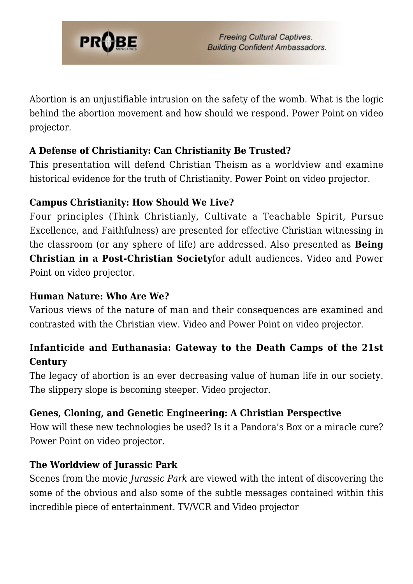

Abortion is an unjustifiable intrusion on the safety of the womb. What is the logic behind the abortion movement and how should we respond. Power Point on video projector.

#### **A Defense of Christianity: Can Christianity Be Trusted?**

This presentation will defend Christian Theism as a worldview and examine historical evidence for the truth of Christianity. Power Point on video projector.

#### **Campus Christianity: How Should We Live?**

Four principles (Think Christianly, Cultivate a Teachable Spirit, Pursue Excellence, and Faithfulness) are presented for effective Christian witnessing in the classroom (or any sphere of life) are addressed. Also presented as **Being Christian in a Post-Christian Society**for adult audiences. Video and Power Point on video projector.

#### **Human Nature: Who Are We?**

Various views of the nature of man and their consequences are examined and contrasted with the Christian view. Video and Power Point on video projector.

### **Infanticide and Euthanasia: Gateway to the Death Camps of the 21st Century**

The legacy of abortion is an ever decreasing value of human life in our society. The slippery slope is becoming steeper. Video projector.

#### **Genes, Cloning, and Genetic Engineering: A Christian Perspective**

How will these new technologies be used? Is it a Pandora's Box or a miracle cure? Power Point on video projector.

#### **The Worldview of Jurassic Park**

Scenes from the movie *Jurassic Park* are viewed with the intent of discovering the some of the obvious and also some of the subtle messages contained within this incredible piece of entertainment. TV/VCR and Video projector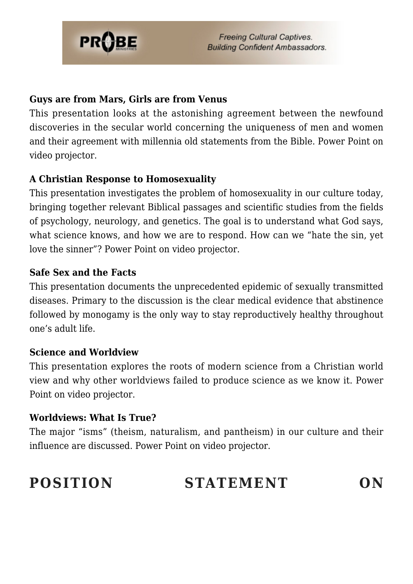

#### **Guys are from Mars, Girls are from Venus**

This presentation looks at the astonishing agreement between the newfound discoveries in the secular world concerning the uniqueness of men and women and their agreement with millennia old statements from the Bible. Power Point on video projector.

#### **A Christian Response to Homosexuality**

This presentation investigates the problem of homosexuality in our culture today, bringing together relevant Biblical passages and scientific studies from the fields of psychology, neurology, and genetics. The goal is to understand what God says, what science knows, and how we are to respond. How can we "hate the sin, yet love the sinner"? Power Point on video projector.

#### **Safe Sex and the Facts**

This presentation documents the unprecedented epidemic of sexually transmitted diseases. Primary to the discussion is the clear medical evidence that abstinence followed by monogamy is the only way to stay reproductively healthy throughout one's adult life.

#### **Science and Worldview**

This presentation explores the roots of modern science from a Christian world view and why other worldviews failed to produce science as we know it. Power Point on video projector.

#### **Worldviews: What Is True?**

The major "isms" (theism, naturalism, and pantheism) in our culture and their influence are discussed. Power Point on video projector.

# **POSITION STATEMENT ON**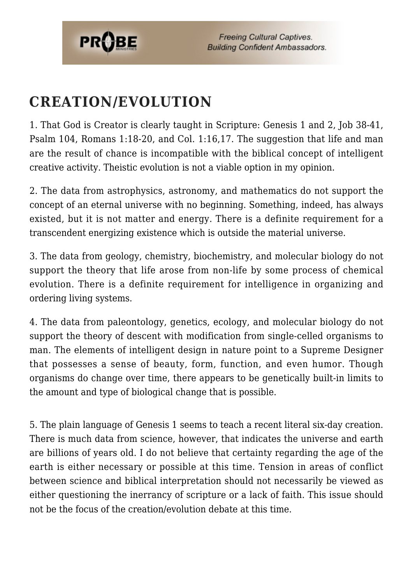

**Freeing Cultural Captives. Building Confident Ambassadors.** 

# **CREATION/EVOLUTION**

1. That God is Creator is clearly taught in Scripture: Genesis 1 and 2, Job 38-41, Psalm 104, Romans 1:18-20, and Col. 1:16,17. The suggestion that life and man are the result of chance is incompatible with the biblical concept of intelligent creative activity. Theistic evolution is not a viable option in my opinion.

2. The data from astrophysics, astronomy, and mathematics do not support the concept of an eternal universe with no beginning. Something, indeed, has always existed, but it is not matter and energy. There is a definite requirement for a transcendent energizing existence which is outside the material universe.

3. The data from geology, chemistry, biochemistry, and molecular biology do not support the theory that life arose from non-life by some process of chemical evolution. There is a definite requirement for intelligence in organizing and ordering living systems.

4. The data from paleontology, genetics, ecology, and molecular biology do not support the theory of descent with modification from single-celled organisms to man. The elements of intelligent design in nature point to a Supreme Designer that possesses a sense of beauty, form, function, and even humor. Though organisms do change over time, there appears to be genetically built-in limits to the amount and type of biological change that is possible.

5. The plain language of Genesis 1 seems to teach a recent literal six-day creation. There is much data from science, however, that indicates the universe and earth are billions of years old. I do not believe that certainty regarding the age of the earth is either necessary or possible at this time. Tension in areas of conflict between science and biblical interpretation should not necessarily be viewed as either questioning the inerrancy of scripture or a lack of faith. This issue should not be the focus of the creation/evolution debate at this time.